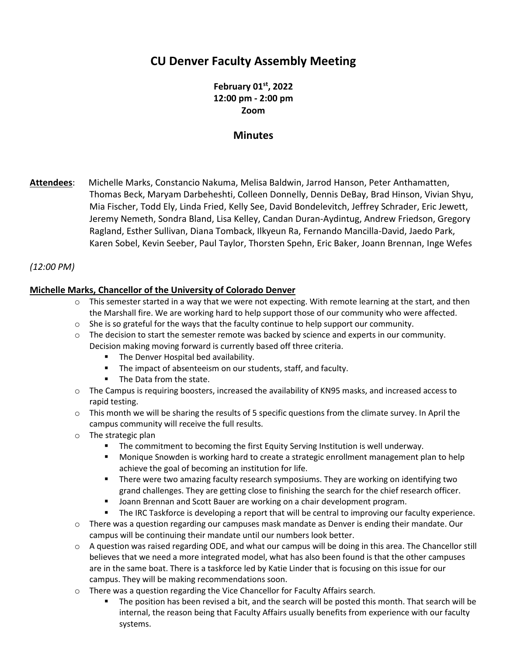# **CU Denver Faculty Assembly Meeting**

**February 01 st, 2022 12:00 pm - 2:00 pm Zoom**

## **Minutes**

**Attendees**: Michelle Marks, Constancio Nakuma, Melisa Baldwin, Jarrod Hanson, Peter Anthamatten, Thomas Beck, Maryam Darbeheshti, Colleen Donnelly, Dennis DeBay, Brad Hinson, Vivian Shyu, Mia Fischer, Todd Ely, Linda Fried, Kelly See, David Bondelevitch, Jeffrey Schrader, Eric Jewett, Jeremy Nemeth, Sondra Bland, Lisa Kelley, Candan Duran-Aydintug, Andrew Friedson, Gregory Ragland, Esther Sullivan, Diana Tomback, Ilkyeun Ra, Fernando Mancilla-David, Jaedo Park, Karen Sobel, Kevin Seeber, Paul Taylor, Thorsten Spehn, Eric Baker, Joann Brennan, Inge Wefes

## *(12:00 PM)*

## **Michelle Marks, Chancellor of the University of Colorado Denver**

- $\circ$  This semester started in a way that we were not expecting. With remote learning at the start, and then the Marshall fire. We are working hard to help support those of our community who were affected.
- $\circ$  She is so grateful for the ways that the faculty continue to help support our community.
- $\circ$  The decision to start the semester remote was backed by science and experts in our community. Decision making moving forward is currently based off three criteria.
	- **The Denver Hospital bed availability.**
	- The impact of absenteeism on our students, staff, and faculty.
	- The Data from the state.
- o The Campus is requiring boosters, increased the availability of KN95 masks, and increased access to rapid testing.
- $\circ$  This month we will be sharing the results of 5 specific questions from the climate survey. In April the campus community will receive the full results.
- o The strategic plan
	- **•** The commitment to becoming the first Equity Serving Institution is well underway.
	- Monique Snowden is working hard to create a strategic enrollment management plan to help achieve the goal of becoming an institution for life.
	- **■** There were two amazing faculty research symposiums. They are working on identifying two grand challenges. They are getting close to finishing the search for the chief research officer.
	- Joann Brennan and Scott Bauer are working on a chair development program.
	- The IRC Taskforce is developing a report that will be central to improving our faculty experience.
- $\circ$  There was a question regarding our campuses mask mandate as Denver is ending their mandate. Our campus will be continuing their mandate until our numbers look better.
- o A question was raised regarding ODE, and what our campus will be doing in this area. The Chancellor still believes that we need a more integrated model, what has also been found is that the other campuses are in the same boat. There is a taskforce led by Katie Linder that is focusing on this issue for our campus. They will be making recommendations soon.
- o There was a question regarding the Vice Chancellor for Faculty Affairs search.
	- The position has been revised a bit, and the search will be posted this month. That search will be internal, the reason being that Faculty Affairs usually benefits from experience with our faculty systems.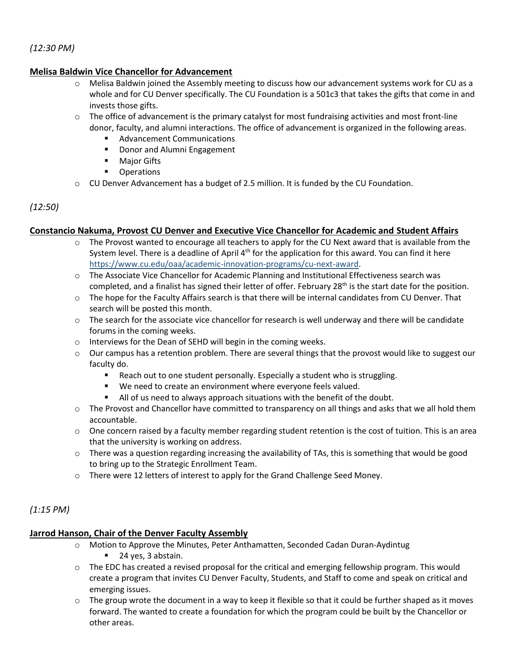## *(12:30 PM)*

#### **Melisa Baldwin Vice Chancellor for Advancement**

- $\circ$  Melisa Baldwin joined the Assembly meeting to discuss how our advancement systems work for CU as a whole and for CU Denver specifically. The CU Foundation is a 501c3 that takes the gifts that come in and invests those gifts.
- $\circ$  The office of advancement is the primary catalyst for most fundraising activities and most front-line donor, faculty, and alumni interactions. The office of advancement is organized in the following areas.
	- Advancement Communications
	- Donor and Alumni Engagement
	- Major Gifts
	- Operations
- $\circ$  CU Denver Advancement has a budget of 2.5 million. It is funded by the CU Foundation.

## *(12:50)*

#### **Constancio Nakuma, Provost CU Denver and Executive Vice Chancellor for Academic and Student Affairs**

- The Provost wanted to encourage all teachers to apply for the CU Next award that is available from the System level. There is a deadline of April  $4<sup>th</sup>$  for the application for this award. You can find it here [https://www.cu.edu/oaa/academic-innovation-programs/cu-next-award.](https://www.cu.edu/oaa/academic-innovation-programs/cu-next-award)
- o The Associate Vice Chancellor for Academic Planning and Institutional Effectiveness search was completed, and a finalist has signed their letter of offer. February 28<sup>th</sup> is the start date for the position.
- o The hope for the Faculty Affairs search is that there will be internal candidates from CU Denver. That search will be posted this month.
- $\circ$  The search for the associate vice chancellor for research is well underway and there will be candidate forums in the coming weeks.
- o Interviews for the Dean of SEHD will begin in the coming weeks.
- $\circ$  Our campus has a retention problem. There are several things that the provost would like to suggest our faculty do.
	- Reach out to one student personally. Especially a student who is struggling.
	- We need to create an environment where everyone feels valued.
	- All of us need to always approach situations with the benefit of the doubt.
- o The Provost and Chancellor have committed to transparency on all things and asks that we all hold them accountable.
- $\circ$  One concern raised by a faculty member regarding student retention is the cost of tuition. This is an area that the university is working on address.
- $\circ$  There was a question regarding increasing the availability of TAs, this is something that would be good to bring up to the Strategic Enrollment Team.
- o There were 12 letters of interest to apply for the Grand Challenge Seed Money.

## *(1:15 PM)*

#### **Jarrod Hanson, Chair of the Denver Faculty Assembly**

- o Motion to Approve the Minutes, Peter Anthamatten, Seconded Cadan Duran-Aydintug ■ 24 yes, 3 abstain.
- $\circ$  The EDC has created a revised proposal for the critical and emerging fellowship program. This would create a program that invites CU Denver Faculty, Students, and Staff to come and speak on critical and emerging issues.
- $\circ$  The group wrote the document in a way to keep it flexible so that it could be further shaped as it moves forward. The wanted to create a foundation for which the program could be built by the Chancellor or other areas.